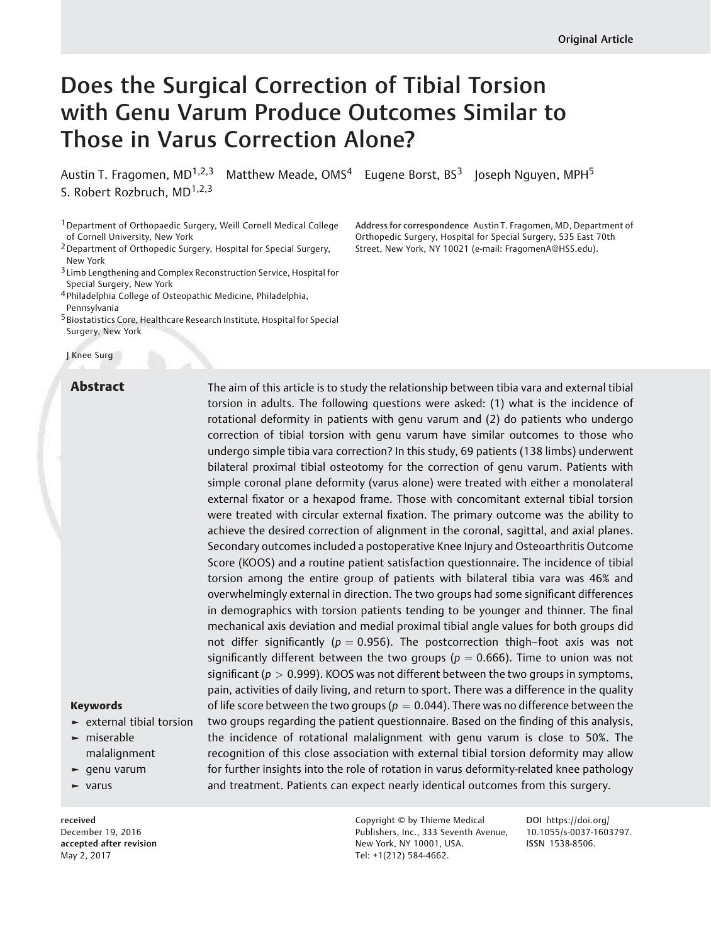# Does the Surgical Correction of Tibial Torsion with Genu Varum Produce Outcomes Similar to Those in Varus Correction Alone?

Austin T. Fragomen,  $MD^{1,2,3}$  Matthew Meade,  $OMS<sup>4</sup>$  Eugene Borst,  $BS<sup>3</sup>$  Joseph Nguyen, MPH<sup>5</sup> S. Robert Rozbruch, MD<sup>1,2,3</sup>

1Department of Orthopaedic Surgery, Weill Cornell Medical College of Cornell University, New York

2Department of Orthopedic Surgery, Hospital for Special Surgery, New York

3 Limb Lengthening and Complex Reconstruction Service, Hospital for Special Surgery, New York

4 Philadelphia College of Osteopathic Medicine, Philadelphia,

Pennsylvania

5 Biostatistics Core, Healthcare Research Institute, Hospital for Special Surgery, New York

J Knee Surg

Address for correspondence Austin T. Fragomen, MD, Department of Orthopedic Surgery, Hospital for Special Surgery, 535 East 70th Street, New York, NY 10021 (e-mail: [FragomenA@HSS.edu](mailto:FragomenA@HSS.edu)).

Abstract The aim of this article is to study the relationship between tibia vara and external tibial torsion in adults. The following questions were asked: (1) what is the incidence of rotational deformity in patients with genu varum and (2) do patients who undergo correction of tibial torsion with genu varum have similar outcomes to those who undergo simple tibia vara correction? In this study, 69 patients (138 limbs) underwent bilateral proximal tibial osteotomy for the correction of genu varum. Patients with simple coronal plane deformity (varus alone) were treated with either a monolateral external fixator or a hexapod frame. Those with concomitant external tibial torsion were treated with circular external fixation. The primary outcome was the ability to achieve the desired correction of alignment in the coronal, sagittal, and axial planes. Secondary outcomes included a postoperative Knee Injury and Osteoarthritis Outcome Score (KOOS) and a routine patient satisfaction questionnaire. The incidence of tibial torsion among the entire group of patients with bilateral tibia vara was 46% and overwhelmingly external in direction. The two groups had some significant differences in demographics with torsion patients tending to be younger and thinner. The final mechanical axis deviation and medial proximal tibial angle values for both groups did not differ significantly ( $p = 0.956$ ). The postcorrection thigh-foot axis was not significantly different between the two groups ( $p = 0.666$ ). Time to union was not significant ( $p > 0.999$ ). KOOS was not different between the two groups in symptoms, pain, activities of daily living, and return to sport. There was a difference in the quality of life score between the two groups ( $p = 0.044$ ). There was no difference between the two groups regarding the patient questionnaire. Based on the finding of this analysis, the incidence of rotational malalignment with genu varum is close to 50%. The recognition of this close association with external tibial torsion deformity may allow for further insights into the role of rotation in varus deformity-related knee pathology and treatment. Patients can expect nearly identical outcomes from this surgery.

# Keywords

- ► external tibial torsion
- ► miserable malalignment
- ► genu varum
- ► varus

received December 19, 2016 accepted after revision May 2, 2017

Copyright © by Thieme Medical Publishers, Inc., 333 Seventh Avenue, New York, NY 10001, USA. Tel: +1(212) 584-4662.

DOI [https://doi.org/](https://doi.org/10.1055/s-0037-1603797) [10.1055/s-0037-1603797](https://doi.org/10.1055/s-0037-1603797). ISSN 1538-8506.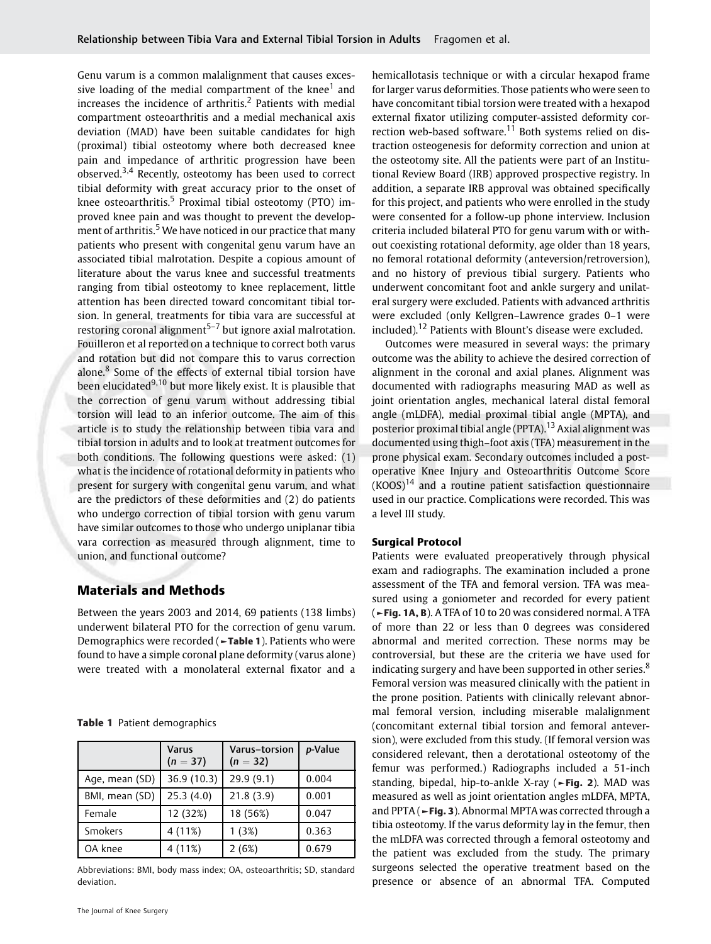Genu varum is a common malalignment that causes excessive loading of the medial compartment of the knee<sup>1</sup> and increases the incidence of arthritis.<sup>2</sup> Patients with medial compartment osteoarthritis and a medial mechanical axis deviation (MAD) have been suitable candidates for high (proximal) tibial osteotomy where both decreased knee pain and impedance of arthritic progression have been observed. $3,4$  Recently, osteotomy has been used to correct tibial deformity with great accuracy prior to the onset of knee osteoarthritis.<sup>5</sup> Proximal tibial osteotomy (PTO) improved knee pain and was thought to prevent the development of arthritis.<sup>5</sup> We have noticed in our practice that many patients who present with congenital genu varum have an associated tibial malrotation. Despite a copious amount of literature about the varus knee and successful treatments ranging from tibial osteotomy to knee replacement, little attention has been directed toward concomitant tibial torsion. In general, treatments for tibia vara are successful at restoring coronal alignment $5-7$  but ignore axial malrotation. Fouilleron et al reported on a technique to correct both varus and rotation but did not compare this to varus correction alone.<sup>8</sup> Some of the effects of external tibial torsion have been elucidated<sup>9,10</sup> but more likely exist. It is plausible that the correction of genu varum without addressing tibial torsion will lead to an inferior outcome. The aim of this article is to study the relationship between tibia vara and tibial torsion in adults and to look at treatment outcomes for both conditions. The following questions were asked: (1) what is the incidence of rotational deformity in patients who present for surgery with congenital genu varum, and what are the predictors of these deformities and (2) do patients who undergo correction of tibial torsion with genu varum have similar outcomes to those who undergo uniplanar tibia vara correction as measured through alignment, time to union, and functional outcome?

# Materials and Methods

Between the years 2003 and 2014, 69 patients (138 limbs) underwent bilateral PTO for the correction of genu varum. Demographics were recorded (►Table 1). Patients who were found to have a simple coronal plane deformity (varus alone) were treated with a monolateral external fixator and a

Table 1 Patient demographics

|                | <b>Varus</b><br>$(n = 37)$ | Varus-torsion<br>$(n = 32)$ | p-Value |
|----------------|----------------------------|-----------------------------|---------|
| Age, mean (SD) | 36.9 (10.3)                | 29.9 (9.1)                  | 0.004   |
| BMI, mean (SD) | 25.3(4.0)                  | 21.8(3.9)                   | 0.001   |
| Female         | 12 (32%)                   | 18 (56%)                    | 0.047   |
| Smokers        | 4 (11%)                    | 1(3%)                       | 0.363   |
| OA knee        | 4 (11%)                    | 2(6%)                       | 0.679   |

Abbreviations: BMI, body mass index; OA, osteoarthritis; SD, standard deviation.

hemicallotasis technique or with a circular hexapod frame for larger varus deformities. Those patients who were seen to have concomitant tibial torsion were treated with a hexapod external fixator utilizing computer-assisted deformity correction web-based software.<sup>11</sup> Both systems relied on distraction osteogenesis for deformity correction and union at the osteotomy site. All the patients were part of an Institutional Review Board (IRB) approved prospective registry. In addition, a separate IRB approval was obtained specifically for this project, and patients who were enrolled in the study were consented for a follow-up phone interview. Inclusion criteria included bilateral PTO for genu varum with or without coexisting rotational deformity, age older than 18 years, no femoral rotational deformity (anteversion/retroversion), and no history of previous tibial surgery. Patients who underwent concomitant foot and ankle surgery and unilateral surgery were excluded. Patients with advanced arthritis were excluded (only Kellgren–Lawrence grades 0–1 were included).<sup>12</sup> Patients with Blount's disease were excluded.

Outcomes were measured in several ways: the primary outcome was the ability to achieve the desired correction of alignment in the coronal and axial planes. Alignment was documented with radiographs measuring MAD as well as joint orientation angles, mechanical lateral distal femoral angle (mLDFA), medial proximal tibial angle (MPTA), and posterior proximal tibial angle (PPTA).<sup>13</sup> Axial alignment was documented using thigh–foot axis (TFA) measurement in the prone physical exam. Secondary outcomes included a postoperative Knee Injury and Osteoarthritis Outcome Score  $(KOOS)^{14}$  and a routine patient satisfaction questionnaire used in our practice. Complications were recorded. This was a level III study.

### Surgical Protocol

Patients were evaluated preoperatively through physical exam and radiographs. The examination included a prone assessment of the TFA and femoral version. TFA was measured using a goniometer and recorded for every patient (►Fig. 1A, B). A TFA of 10 to 20 was considered normal. A TFA of more than 22 or less than 0 degrees was considered abnormal and merited correction. These norms may be controversial, but these are the criteria we have used for indicating surgery and have been supported in other series.<sup>8</sup> Femoral version was measured clinically with the patient in the prone position. Patients with clinically relevant abnormal femoral version, including miserable malalignment (concomitant external tibial torsion and femoral anteversion), were excluded from this study. (If femoral version was considered relevant, then a derotational osteotomy of the femur was performed.) Radiographs included a 51-inch standing, bipedal, hip-to-ankle X-ray (►Fig. 2). MAD was measured as well as joint orientation angles mLDFA, MPTA, and PPTA (►Fig. 3). Abnormal MPTA was corrected through a tibia osteotomy. If the varus deformity lay in the femur, then the mLDFA was corrected through a femoral osteotomy and the patient was excluded from the study. The primary surgeons selected the operative treatment based on the presence or absence of an abnormal TFA. Computed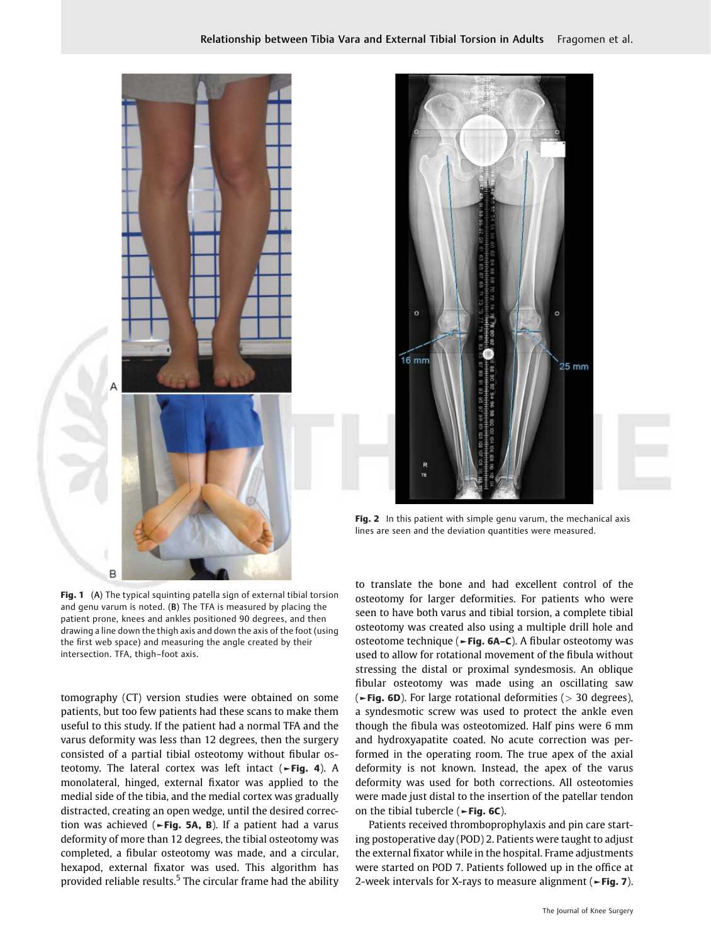



lines are seen and the deviation quantities were measured.

Fig. 1 (A) The typical squinting patella sign of external tibial torsion and genu varum is noted. (B) The TFA is measured by placing the patient prone, knees and ankles positioned 90 degrees, and then drawing a line down the thigh axis and down the axis of the foot (using the first web space) and measuring the angle created by their intersection. TFA, thigh–foot axis.

tomography (CT) version studies were obtained on some patients, but too few patients had these scans to make them useful to this study. If the patient had a normal TFA and the varus deformity was less than 12 degrees, then the surgery consisted of a partial tibial osteotomy without fibular osteotomy. The lateral cortex was left intact  $({\textcolor{red}{\succ}\mathsf{Fig. 4}})$ . A monolateral, hinged, external fixator was applied to the medial side of the tibia, and the medial cortex was gradually distracted, creating an open wedge, until the desired correction was achieved ( $\blacktriangleright$ Fig. 5A, B). If a patient had a varus deformity of more than 12 degrees, the tibial osteotomy was completed, a fibular osteotomy was made, and a circular, hexapod, external fixator was used. This algorithm has provided reliable results. $5$  The circular frame had the ability to translate the bone and had excellent control of the osteotomy for larger deformities. For patients who were seen to have both varus and tibial torsion, a complete tibial osteotomy was created also using a multiple drill hole and osteotome technique (►Fig. 6A–C). A fibular osteotomy was used to allow for rotational movement of the fibula without stressing the distal or proximal syndesmosis. An oblique fibular osteotomy was made using an oscillating saw ( $\blacktriangleright$ Fig. 6D). For large rotational deformities ( $>$  30 degrees), a syndesmotic screw was used to protect the ankle even though the fibula was osteotomized. Half pins were 6 mm and hydroxyapatite coated. No acute correction was performed in the operating room. The true apex of the axial deformity is not known. Instead, the apex of the varus deformity was used for both corrections. All osteotomies were made just distal to the insertion of the patellar tendon on the tibial tubercle ( $\blacktriangleright$ Fig. 6C).

Patients received thromboprophylaxis and pin care starting postoperative day (POD) 2. Patients were taught to adjust the external fixator while in the hospital. Frame adjustments were started on POD 7. Patients followed up in the office at 2-week intervals for X-rays to measure alignment (►Fig. 7).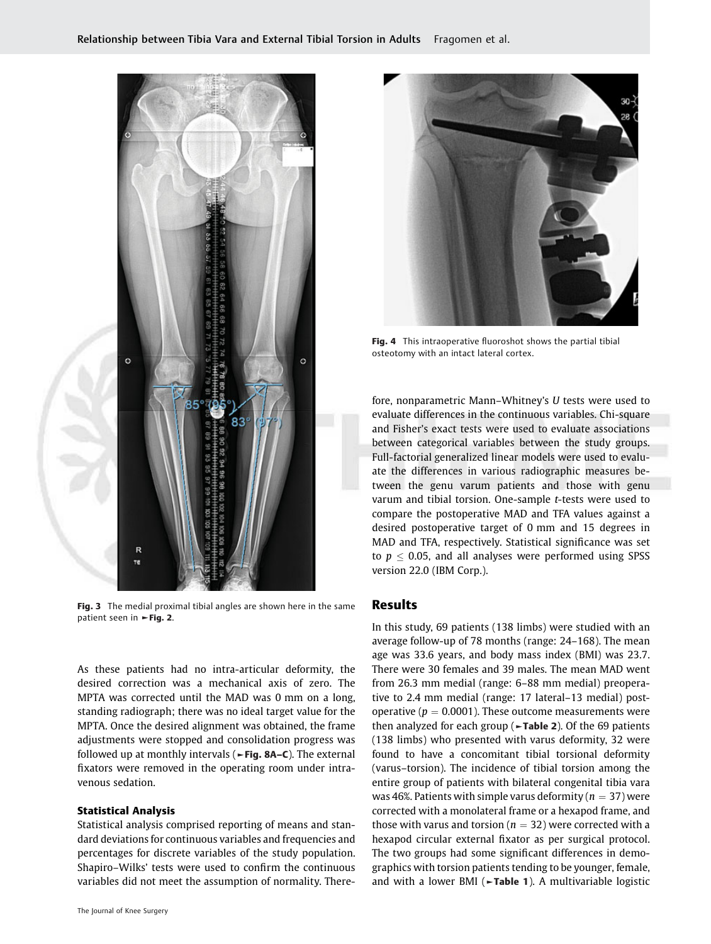

Fig. 3 The medial proximal tibial angles are shown here in the same patient seen in ►Fig. 2.

As these patients had no intra-articular deformity, the desired correction was a mechanical axis of zero. The MPTA was corrected until the MAD was 0 mm on a long, standing radiograph; there was no ideal target value for the MPTA. Once the desired alignment was obtained, the frame adjustments were stopped and consolidation progress was followed up at monthly intervals ( $\blacktriangleright$ Fig. 8A–C). The external fixators were removed in the operating room under intravenous sedation.

#### Statistical Analysis

Statistical analysis comprised reporting of means and standard deviations for continuous variables and frequencies and percentages for discrete variables of the study population. Shapiro–Wilks' tests were used to confirm the continuous variables did not meet the assumption of normality. There-



Fig. 4 This intraoperative fluoroshot shows the partial tibial osteotomy with an intact lateral cortex.

fore, nonparametric Mann–Whitney's U tests were used to evaluate differences in the continuous variables. Chi-square and Fisher's exact tests were used to evaluate associations between categorical variables between the study groups. Full-factorial generalized linear models were used to evaluate the differences in various radiographic measures between the genu varum patients and those with genu varum and tibial torsion. One-sample t-tests were used to compare the postoperative MAD and TFA values against a desired postoperative target of 0 mm and 15 degrees in MAD and TFA, respectively. Statistical significance was set to  $p \leq 0.05$ , and all analyses were performed using SPSS version 22.0 (IBM Corp.).

## Results

In this study, 69 patients (138 limbs) were studied with an average follow-up of 78 months (range: 24–168). The mean age was 33.6 years, and body mass index (BMI) was 23.7. There were 30 females and 39 males. The mean MAD went from 26.3 mm medial (range: 6–88 mm medial) preoperative to 2.4 mm medial (range: 17 lateral–13 medial) postoperative ( $p = 0.0001$ ). These outcome measurements were then analyzed for each group ( $\blacktriangleright$ Table 2). Of the 69 patients (138 limbs) who presented with varus deformity, 32 were found to have a concomitant tibial torsional deformity (varus–torsion). The incidence of tibial torsion among the entire group of patients with bilateral congenital tibia vara was 46%. Patients with simple varus deformity ( $n = 37$ ) were corrected with a monolateral frame or a hexapod frame, and those with varus and torsion ( $n = 32$ ) were corrected with a hexapod circular external fixator as per surgical protocol. The two groups had some significant differences in demographics with torsion patients tending to be younger, female, and with a lower BMI ( $\neg$ Table 1). A multivariable logistic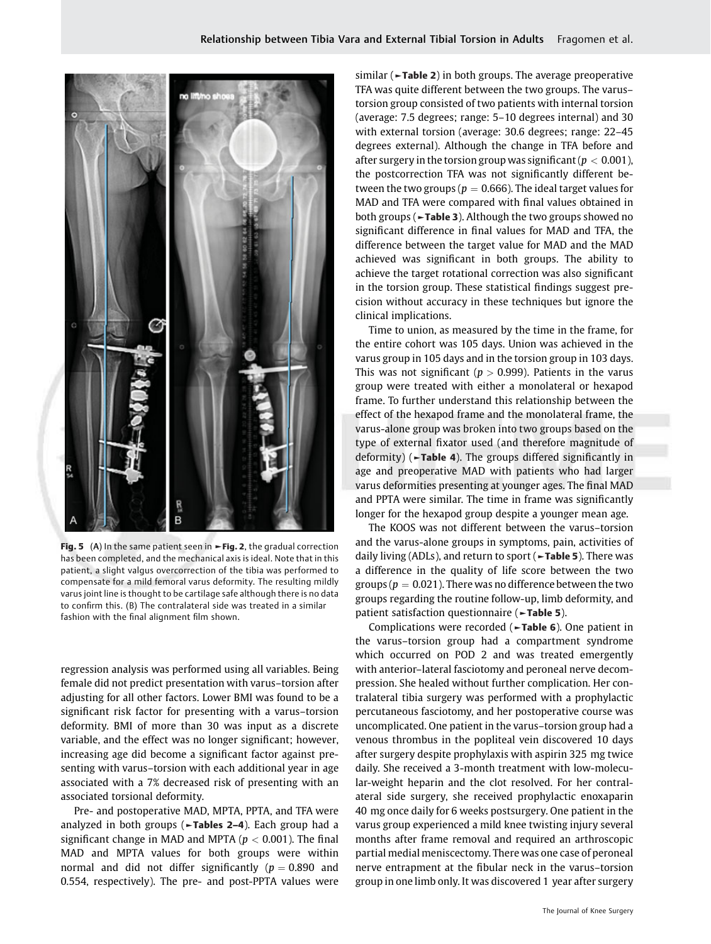

Fig. 5 (A) In the same patient seen in ►Fig. 2, the gradual correction has been completed, and the mechanical axis is ideal. Note that in this patient, a slight valgus overcorrection of the tibia was performed to compensate for a mild femoral varus deformity. The resulting mildly varus joint line is thought to be cartilage safe although there is no data to confirm this. (B) The contralateral side was treated in a similar fashion with the final alignment film shown.

regression analysis was performed using all variables. Being female did not predict presentation with varus–torsion after adjusting for all other factors. Lower BMI was found to be a significant risk factor for presenting with a varus–torsion deformity. BMI of more than 30 was input as a discrete variable, and the effect was no longer significant; however, increasing age did become a significant factor against presenting with varus–torsion with each additional year in age associated with a 7% decreased risk of presenting with an associated torsional deformity.

Pre- and postoperative MAD, MPTA, PPTA, and TFA were analyzed in both groups ( $\blacktriangleright$ Tables 2–4). Each group had a significant change in MAD and MPTA ( $p < 0.001$ ). The final MAD and MPTA values for both groups were within normal and did not differ significantly ( $p = 0.890$  and 0.554, respectively). The pre- and post-PPTA values were similar ( $\blacktriangleright$ Table 2) in both groups. The average preoperative TFA was quite different between the two groups. The varus– torsion group consisted of two patients with internal torsion (average: 7.5 degrees; range: 5–10 degrees internal) and 30 with external torsion (average: 30.6 degrees; range: 22–45 degrees external). Although the change in TFA before and after surgery in the torsion group was significant ( $p < 0.001$ ), the postcorrection TFA was not significantly different between the two groups ( $p = 0.666$ ). The ideal target values for MAD and TFA were compared with final values obtained in both groups (►Table 3). Although the two groups showed no significant difference in final values for MAD and TFA, the difference between the target value for MAD and the MAD achieved was significant in both groups. The ability to achieve the target rotational correction was also significant in the torsion group. These statistical findings suggest precision without accuracy in these techniques but ignore the clinical implications.

Time to union, as measured by the time in the frame, for the entire cohort was 105 days. Union was achieved in the varus group in 105 days and in the torsion group in 103 days. This was not significant ( $p > 0.999$ ). Patients in the varus group were treated with either a monolateral or hexapod frame. To further understand this relationship between the effect of the hexapod frame and the monolateral frame, the varus-alone group was broken into two groups based on the type of external fixator used (and therefore magnitude of deformity) (►Table 4). The groups differed significantly in age and preoperative MAD with patients who had larger varus deformities presenting at younger ages. The final MAD and PPTA were similar. The time in frame was significantly longer for the hexapod group despite a younger mean age.

The KOOS was not different between the varus–torsion and the varus-alone groups in symptoms, pain, activities of daily living (ADLs), and return to sport (►Table 5). There was a difference in the quality of life score between the two groups ( $p = 0.021$ ). There was no difference between the two groups regarding the routine follow-up, limb deformity, and patient satisfaction questionnaire (►Table 5).

Complications were recorded (►Table 6). One patient in the varus–torsion group had a compartment syndrome which occurred on POD 2 and was treated emergently with anterior–lateral fasciotomy and peroneal nerve decompression. She healed without further complication. Her contralateral tibia surgery was performed with a prophylactic percutaneous fasciotomy, and her postoperative course was uncomplicated. One patient in the varus–torsion group had a venous thrombus in the popliteal vein discovered 10 days after surgery despite prophylaxis with aspirin 325 mg twice daily. She received a 3-month treatment with low-molecular-weight heparin and the clot resolved. For her contralateral side surgery, she received prophylactic enoxaparin 40 mg once daily for 6 weeks postsurgery. One patient in the varus group experienced a mild knee twisting injury several months after frame removal and required an arthroscopic partial medial meniscectomy. There was one case of peroneal nerve entrapment at the fibular neck in the varus–torsion group in one limb only. It was discovered 1 year after surgery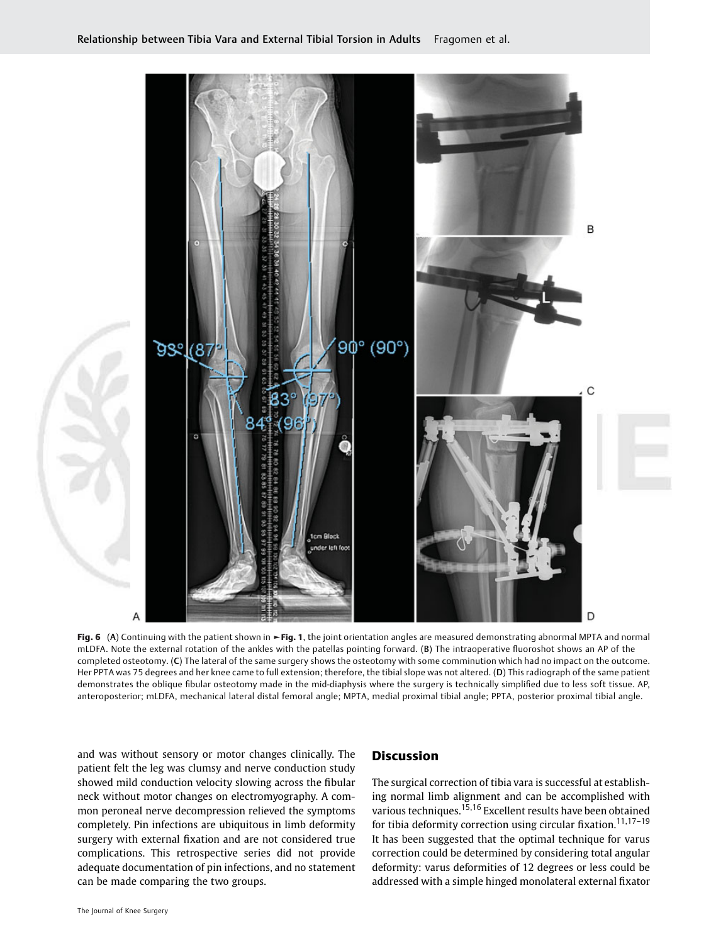

Fig. 6 (A) Continuing with the patient shown in ►Fig. 1, the joint orientation angles are measured demonstrating abnormal MPTA and normal mLDFA. Note the external rotation of the ankles with the patellas pointing forward. (B) The intraoperative fluoroshot shows an AP of the completed osteotomy. (C) The lateral of the same surgery shows the osteotomy with some comminution which had no impact on the outcome. Her PPTA was 75 degrees and her knee came to full extension; therefore, the tibial slope was not altered. (D) This radiograph of the same patient demonstrates the oblique fibular osteotomy made in the mid-diaphysis where the surgery is technically simplified due to less soft tissue. AP, anteroposterior; mLDFA, mechanical lateral distal femoral angle; MPTA, medial proximal tibial angle; PPTA, posterior proximal tibial angle.

and was without sensory or motor changes clinically. The patient felt the leg was clumsy and nerve conduction study showed mild conduction velocity slowing across the fibular neck without motor changes on electromyography. A common peroneal nerve decompression relieved the symptoms completely. Pin infections are ubiquitous in limb deformity surgery with external fixation and are not considered true complications. This retrospective series did not provide adequate documentation of pin infections, and no statement can be made comparing the two groups.

## **Discussion**

The surgical correction of tibia vara is successful at establishing normal limb alignment and can be accomplished with various techniques.15,16 Excellent results have been obtained for tibia deformity correction using circular fixation.<sup>11,17-19</sup> It has been suggested that the optimal technique for varus correction could be determined by considering total angular deformity: varus deformities of 12 degrees or less could be addressed with a simple hinged monolateral external fixator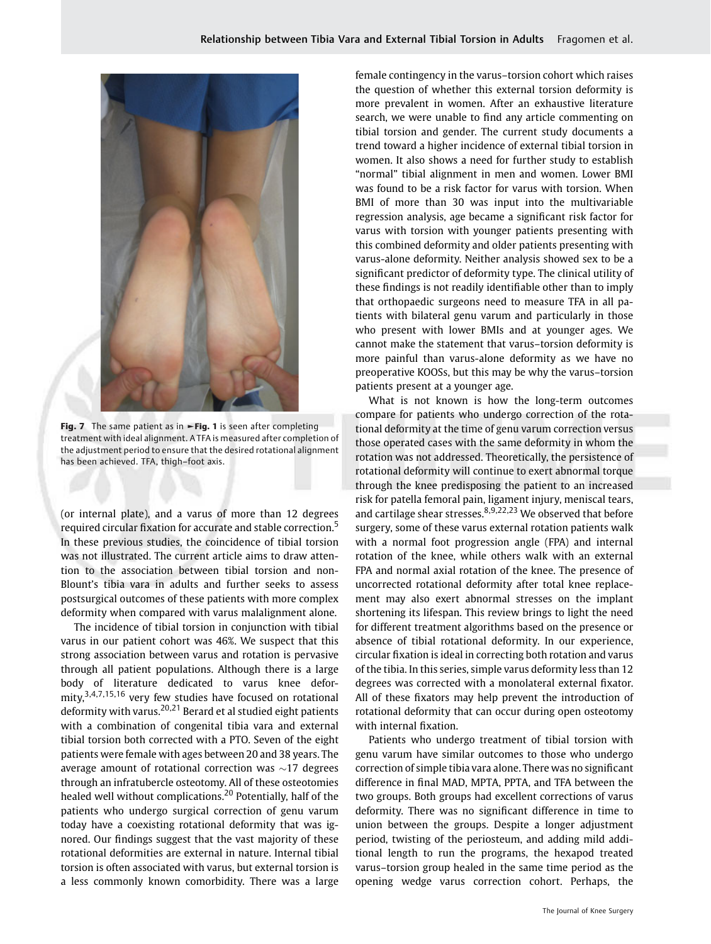

Fig. 7 The same patient as in ►Fig. 1 is seen after completing treatment with ideal alignment. A TFA is measured after completion of the adjustment period to ensure that the desired rotational alignment has been achieved. TFA, thigh–foot axis.

(or internal plate), and a varus of more than 12 degrees required circular fixation for accurate and stable correction.<sup>5</sup> In these previous studies, the coincidence of tibial torsion was not illustrated. The current article aims to draw attention to the association between tibial torsion and non-Blount's tibia vara in adults and further seeks to assess postsurgical outcomes of these patients with more complex deformity when compared with varus malalignment alone.

The incidence of tibial torsion in conjunction with tibial varus in our patient cohort was 46%. We suspect that this strong association between varus and rotation is pervasive through all patient populations. Although there is a large body of literature dedicated to varus knee deformity,<sup>3,4,7,15,16</sup> very few studies have focused on rotational deformity with varus.20,21 Berard et al studied eight patients with a combination of congenital tibia vara and external tibial torsion both corrected with a PTO. Seven of the eight patients were female with ages between 20 and 38 years. The average amount of rotational correction was  $\sim$ 17 degrees through an infratubercle osteotomy. All of these osteotomies healed well without complications.<sup>20</sup> Potentially, half of the patients who undergo surgical correction of genu varum today have a coexisting rotational deformity that was ignored. Our findings suggest that the vast majority of these rotational deformities are external in nature. Internal tibial torsion is often associated with varus, but external torsion is a less commonly known comorbidity. There was a large female contingency in the varus–torsion cohort which raises the question of whether this external torsion deformity is more prevalent in women. After an exhaustive literature search, we were unable to find any article commenting on tibial torsion and gender. The current study documents a trend toward a higher incidence of external tibial torsion in women. It also shows a need for further study to establish "normal" tibial alignment in men and women. Lower BMI was found to be a risk factor for varus with torsion. When BMI of more than 30 was input into the multivariable regression analysis, age became a significant risk factor for varus with torsion with younger patients presenting with this combined deformity and older patients presenting with varus-alone deformity. Neither analysis showed sex to be a significant predictor of deformity type. The clinical utility of these findings is not readily identifiable other than to imply that orthopaedic surgeons need to measure TFA in all patients with bilateral genu varum and particularly in those who present with lower BMIs and at younger ages. We cannot make the statement that varus–torsion deformity is more painful than varus-alone deformity as we have no preoperative KOOSs, but this may be why the varus–torsion patients present at a younger age.

What is not known is how the long-term outcomes compare for patients who undergo correction of the rotational deformity at the time of genu varum correction versus those operated cases with the same deformity in whom the rotation was not addressed. Theoretically, the persistence of rotational deformity will continue to exert abnormal torque through the knee predisposing the patient to an increased risk for patella femoral pain, ligament injury, meniscal tears, and cartilage shear stresses.  $8,9,22,23$  We observed that before surgery, some of these varus external rotation patients walk with a normal foot progression angle (FPA) and internal rotation of the knee, while others walk with an external FPA and normal axial rotation of the knee. The presence of uncorrected rotational deformity after total knee replacement may also exert abnormal stresses on the implant shortening its lifespan. This review brings to light the need for different treatment algorithms based on the presence or absence of tibial rotational deformity. In our experience, circular fixation is ideal in correcting both rotation and varus of the tibia. In this series, simple varus deformity less than 12 degrees was corrected with a monolateral external fixator. All of these fixators may help prevent the introduction of rotational deformity that can occur during open osteotomy with internal fixation.

Patients who undergo treatment of tibial torsion with genu varum have similar outcomes to those who undergo correction of simple tibia vara alone. There was no significant difference in final MAD, MPTA, PPTA, and TFA between the two groups. Both groups had excellent corrections of varus deformity. There was no significant difference in time to union between the groups. Despite a longer adjustment period, twisting of the periosteum, and adding mild additional length to run the programs, the hexapod treated varus–torsion group healed in the same time period as the opening wedge varus correction cohort. Perhaps, the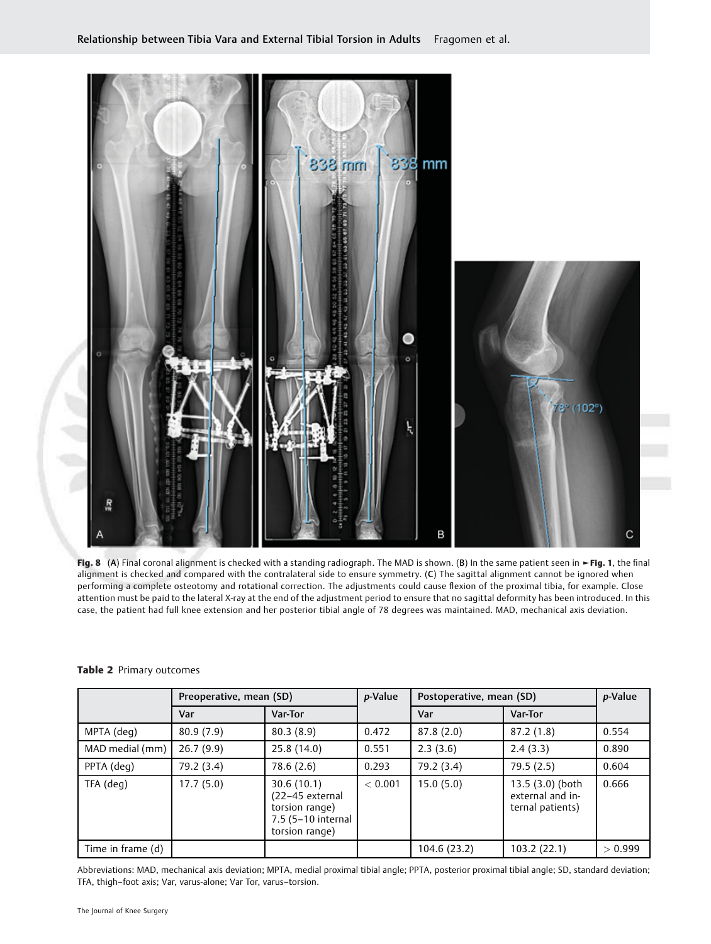

Fig. 8 (A) Final coronal alignment is checked with a standing radiograph. The MAD is shown. (B) In the same patient seen in ►Fig. 1, the final alignment is checked and compared with the contralateral side to ensure symmetry. (C) The sagittal alignment cannot be ignored when performing a complete osteotomy and rotational correction. The adjustments could cause flexion of the proximal tibia, for example. Close attention must be paid to the lateral X-ray at the end of the adjustment period to ensure that no sagittal deformity has been introduced. In this case, the patient had full knee extension and her posterior tibial angle of 78 degrees was maintained. MAD, mechanical axis deviation.

|                   | Preoperative, mean (SD) |                                                                                         | p-Value | Postoperative, mean (SD) |                                                          | p-Value |
|-------------------|-------------------------|-----------------------------------------------------------------------------------------|---------|--------------------------|----------------------------------------------------------|---------|
|                   | Var                     | <b>Var-Tor</b>                                                                          |         | Var                      | Var-Tor                                                  |         |
| MPTA (deg)        | 80.9(7.9)               | 80.3(8.9)                                                                               | 0.472   | 87.8(2.0)                | 87.2(1.8)                                                | 0.554   |
| MAD medial (mm)   | 26.7(9.9)               | 25.8 (14.0)                                                                             | 0.551   | 2.3(3.6)                 | 2.4(3.3)                                                 | 0.890   |
| PPTA (deg)        | 79.2 (3.4)              | 78.6 (2.6)                                                                              | 0.293   | 79.2 (3.4)               | 79.5(2.5)                                                | 0.604   |
| TFA (deg)         | 17.7(5.0)               | 30.6(10.1)<br>(22-45 external<br>torsion range)<br>7.5 (5-10 internal<br>torsion range) | < 0.001 | 15.0(5.0)                | 13.5 (3.0) (both<br>external and in-<br>ternal patients) | 0.666   |
| Time in frame (d) |                         |                                                                                         |         | 104.6 (23.2)             | 103.2(22.1)                                              | > 0.999 |

#### Table 2 Primary outcomes

Abbreviations: MAD, mechanical axis deviation; MPTA, medial proximal tibial angle; PPTA, posterior proximal tibial angle; SD, standard deviation; TFA, thigh–foot axis; Var, varus-alone; Var Tor, varus–torsion.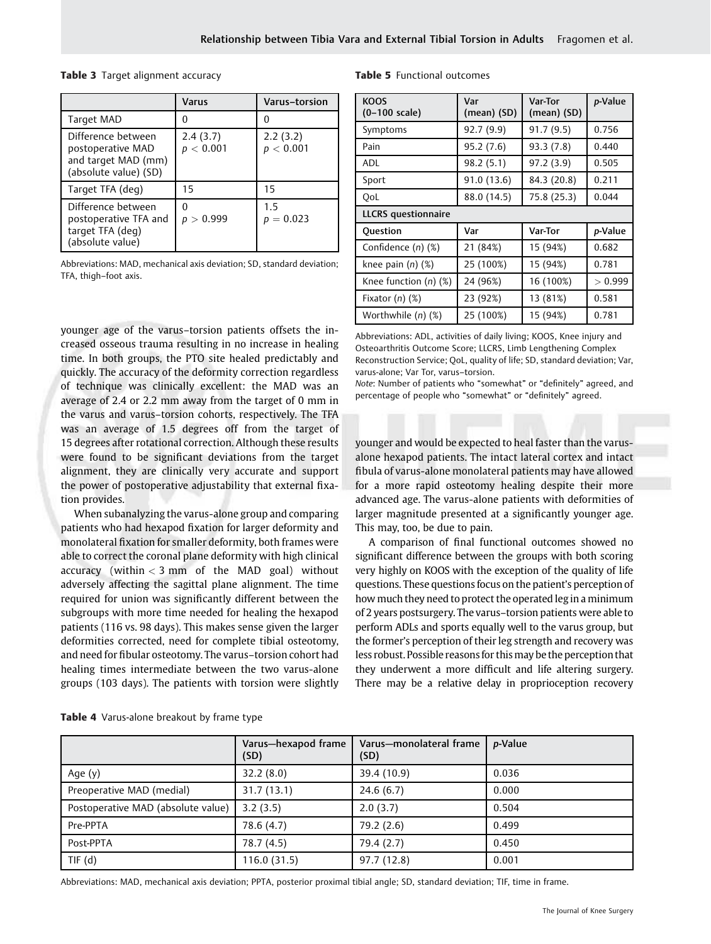#### Table 3 Target alignment accuracy

|                                                                                         | Varus                 | <b>Varus-torsion</b>  |
|-----------------------------------------------------------------------------------------|-----------------------|-----------------------|
| Target MAD                                                                              |                       |                       |
| Difference between<br>postoperative MAD<br>and target MAD (mm)<br>(absolute value) (SD) | 2.4(3.7)<br>p < 0.001 | 2.2(3.2)<br>p < 0.001 |
| Target TFA (deg)                                                                        | 15                    | 15                    |
| Difference between<br>postoperative TFA and<br>target TFA (deg)<br>(absolute value)     | p > 0.999             | 1.5<br>$= 0.023$      |

Abbreviations: MAD, mechanical axis deviation; SD, standard deviation; TFA, thigh–foot axis.

younger age of the varus–torsion patients offsets the increased osseous trauma resulting in no increase in healing time. In both groups, the PTO site healed predictably and quickly. The accuracy of the deformity correction regardless of technique was clinically excellent: the MAD was an average of 2.4 or 2.2 mm away from the target of 0 mm in the varus and varus–torsion cohorts, respectively. The TFA was an average of 1.5 degrees off from the target of 15 degrees after rotational correction. Although these results were found to be significant deviations from the target alignment, they are clinically very accurate and support the power of postoperative adjustability that external fixation provides.

When subanalyzing the varus-alone group and comparing patients who had hexapod fixation for larger deformity and monolateral fixation for smaller deformity, both frames were able to correct the coronal plane deformity with high clinical accuracy (within  $<$  3 mm of the MAD goal) without adversely affecting the sagittal plane alignment. The time required for union was significantly different between the subgroups with more time needed for healing the hexapod patients (116 vs. 98 days). This makes sense given the larger deformities corrected, need for complete tibial osteotomy, and need for fibular osteotomy. The varus–torsion cohort had healing times intermediate between the two varus-alone groups (103 days). The patients with torsion were slightly

| <b>KOOS</b><br>$(0-100 \text{ scale})$ | Var<br>(mean) (SD) | Var-Tor<br>(mean) (SD) | p-Value |  |
|----------------------------------------|--------------------|------------------------|---------|--|
| Symptoms                               | 92.7(9.9)          | 91.7(9.5)              | 0.756   |  |
| Pain                                   | 95.2(7.6)          | 93.3(7.8)              | 0.440   |  |
| <b>ADL</b>                             | 98.2(5.1)          | 97.2(3.9)              | 0.505   |  |
| Sport                                  | 91.0 (13.6)        | 84.3 (20.8)            | 0.211   |  |
| OoL                                    | 88.0 (14.5)        | 75.8 (25.3)            | 0.044   |  |
| <b>LLCRS</b> questionnaire             |                    |                        |         |  |
| Question                               | Var                | Var-Tor                | p-Value |  |
| Confidence (n) (%)                     | 21 (84%)           | 15 (94%)               | 0.682   |  |
| knee pain $(n)$ $(\%)$                 | 25 (100%)          | 15 (94%)               | 0.781   |  |
| Knee function $(n)$ $(\%)$             | 24 (96%)           | 16 (100%)              | > 0.999 |  |
| Fixator $(n)$ $(\%)$                   | 23 (92%)           | 13 (81%)               | 0.581   |  |
| Worthwhile (n) (%)                     | 25 (100%)          | 15 (94%)               | 0.781   |  |

Table 5 Functional outcomes

Abbreviations: ADL, activities of daily living; KOOS, Knee injury and Osteoarthritis Outcome Score; LLCRS, Limb Lengthening Complex Reconstruction Service; QoL, quality of life; SD, standard deviation; Var, varus-alone; Var Tor, varus–torsion.

Note: Number of patients who "somewhat" or "definitely" agreed, and percentage of people who "somewhat" or "definitely" agreed.

younger and would be expected to heal faster than the varusalone hexapod patients. The intact lateral cortex and intact fibula of varus-alone monolateral patients may have allowed for a more rapid osteotomy healing despite their more advanced age. The varus-alone patients with deformities of larger magnitude presented at a significantly younger age. This may, too, be due to pain.

A comparison of final functional outcomes showed no significant difference between the groups with both scoring very highly on KOOS with the exception of the quality of life questions. These questions focus on the patient's perception of how much they need to protect the operated leg in a minimum of 2 years postsurgery. The varus–torsion patients were able to perform ADLs and sports equally well to the varus group, but the former's perception of their leg strength and recovery was less robust. Possible reasons for thismay be the perception that they underwent a more difficult and life altering surgery. There may be a relative delay in proprioception recovery

|                                    | Varus-hexapod frame<br>(SD) | Varus-monolateral frame<br>(SD) | <i>p</i> -Value |
|------------------------------------|-----------------------------|---------------------------------|-----------------|
| Age (y)                            | 32.2(8.0)                   | 39.4 (10.9)                     | 0.036           |
| Preoperative MAD (medial)          | 31.7(13.1)                  | 24.6(6.7)                       | 0.000           |
| Postoperative MAD (absolute value) | 3.2(3.5)                    | 2.0(3.7)                        | 0.504           |
| Pre-PPTA                           | 78.6 (4.7)                  | 79.2 (2.6)                      | 0.499           |
| Post-PPTA                          | 78.7 (4.5)                  | 79.4 (2.7)                      | 0.450           |
| TIF $(d)$                          | 116.0(31.5)                 | 97.7 (12.8)                     | 0.001           |

**Table 4** Varus-alone breakout by frame type

Abbreviations: MAD, mechanical axis deviation; PPTA, posterior proximal tibial angle; SD, standard deviation; TIF, time in frame.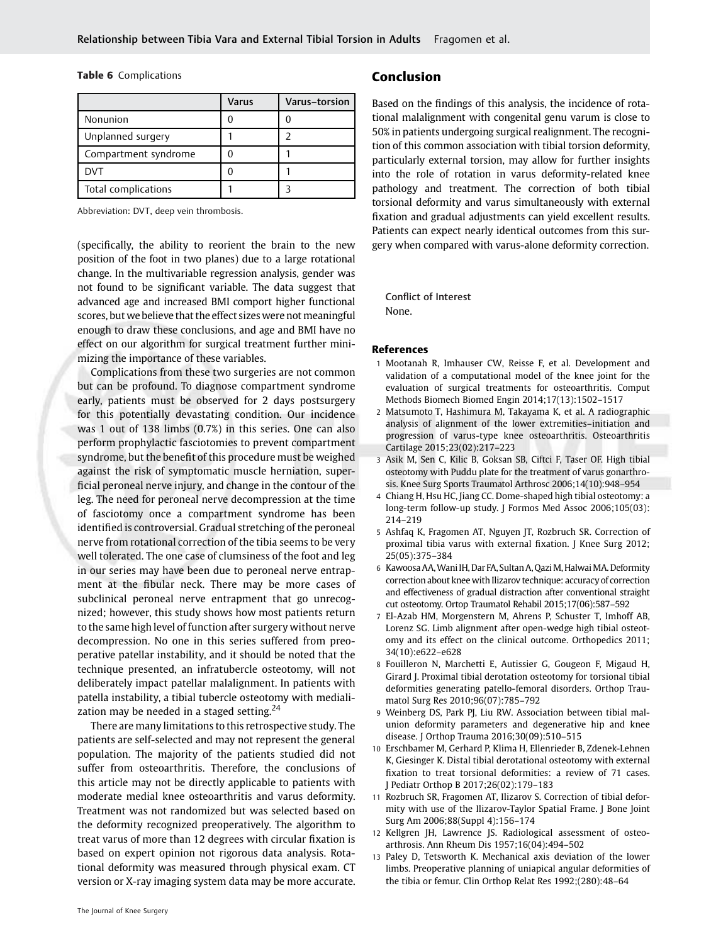Table 6 Complications

|                      | Varus | Varus-torsion |
|----------------------|-------|---------------|
| Nonunion             |       |               |
| Unplanned surgery    |       |               |
| Compartment syndrome |       |               |
| <b>DVT</b>           |       |               |
| Total complications  |       |               |

Abbreviation: DVT, deep vein thrombosis.

(specifically, the ability to reorient the brain to the new position of the foot in two planes) due to a large rotational change. In the multivariable regression analysis, gender was not found to be significant variable. The data suggest that advanced age and increased BMI comport higher functional scores, but we believe that the effect sizes were not meaningful enough to draw these conclusions, and age and BMI have no effect on our algorithm for surgical treatment further minimizing the importance of these variables.

Complications from these two surgeries are not common but can be profound. To diagnose compartment syndrome early, patients must be observed for 2 days postsurgery for this potentially devastating condition. Our incidence was 1 out of 138 limbs (0.7%) in this series. One can also perform prophylactic fasciotomies to prevent compartment syndrome, but the benefit of this procedure must be weighed against the risk of symptomatic muscle herniation, superficial peroneal nerve injury, and change in the contour of the leg. The need for peroneal nerve decompression at the time of fasciotomy once a compartment syndrome has been identified is controversial. Gradual stretching of the peroneal nerve from rotational correction of the tibia seems to be very well tolerated. The one case of clumsiness of the foot and leg in our series may have been due to peroneal nerve entrapment at the fibular neck. There may be more cases of subclinical peroneal nerve entrapment that go unrecognized; however, this study shows how most patients return to the same high level of function after surgery without nerve decompression. No one in this series suffered from preoperative patellar instability, and it should be noted that the technique presented, an infratubercle osteotomy, will not deliberately impact patellar malalignment. In patients with patella instability, a tibial tubercle osteotomy with medialization may be needed in a staged setting.<sup>24</sup>

There are many limitations to this retrospective study. The patients are self-selected and may not represent the general population. The majority of the patients studied did not suffer from osteoarthritis. Therefore, the conclusions of this article may not be directly applicable to patients with moderate medial knee osteoarthritis and varus deformity. Treatment was not randomized but was selected based on the deformity recognized preoperatively. The algorithm to treat varus of more than 12 degrees with circular fixation is based on expert opinion not rigorous data analysis. Rotational deformity was measured through physical exam. CT version or X-ray imaging system data may be more accurate.

# Conclusion

Based on the findings of this analysis, the incidence of rotational malalignment with congenital genu varum is close to 50% in patients undergoing surgical realignment. The recognition of this common association with tibial torsion deformity, particularly external torsion, may allow for further insights into the role of rotation in varus deformity-related knee pathology and treatment. The correction of both tibial torsional deformity and varus simultaneously with external fixation and gradual adjustments can yield excellent results. Patients can expect nearly identical outcomes from this surgery when compared with varus-alone deformity correction.

Conflict of Interest None.

#### References

- 1 Mootanah R, Imhauser CW, Reisse F, et al. Development and validation of a computational model of the knee joint for the evaluation of surgical treatments for osteoarthritis. Comput Methods Biomech Biomed Engin 2014;17(13):1502–1517
- 2 Matsumoto T, Hashimura M, Takayama K, et al. A radiographic analysis of alignment of the lower extremities–initiation and progression of varus-type knee osteoarthritis. Osteoarthritis Cartilage 2015;23(02):217–223
- 3 Asik M, Sen C, Kilic B, Goksan SB, Ciftci F, Taser OF. High tibial osteotomy with Puddu plate for the treatment of varus gonarthrosis. Knee Surg Sports Traumatol Arthrosc 2006;14(10):948–954
- 4 Chiang H, Hsu HC, Jiang CC. Dome-shaped high tibial osteotomy: a long-term follow-up study. J Formos Med Assoc 2006;105(03): 214–219
- 5 Ashfaq K, Fragomen AT, Nguyen JT, Rozbruch SR. Correction of proximal tibia varus with external fixation. J Knee Surg 2012; 25(05):375–384
- 6 Kawoosa AA, Wani IH, Dar FA, Sultan A, Qazi M, Halwai MA. Deformity correction about knee with Ilizarov technique: accuracy of correction and effectiveness of gradual distraction after conventional straight cut osteotomy. Ortop Traumatol Rehabil 2015;17(06):587–592
- 7 El-Azab HM, Morgenstern M, Ahrens P, Schuster T, Imhoff AB, Lorenz SG. Limb alignment after open-wedge high tibial osteotomy and its effect on the clinical outcome. Orthopedics 2011; 34(10):e622–e628
- 8 Fouilleron N, Marchetti E, Autissier G, Gougeon F, Migaud H, Girard J. Proximal tibial derotation osteotomy for torsional tibial deformities generating patello-femoral disorders. Orthop Traumatol Surg Res 2010;96(07):785–792
- 9 Weinberg DS, Park PJ, Liu RW. Association between tibial malunion deformity parameters and degenerative hip and knee disease. J Orthop Trauma 2016;30(09):510–515
- 10 Erschbamer M, Gerhard P, Klima H, Ellenrieder B, Zdenek-Lehnen K, Giesinger K. Distal tibial derotational osteotomy with external fixation to treat torsional deformities: a review of 71 cases. J Pediatr Orthop B 2017;26(02):179–183
- 11 Rozbruch SR, Fragomen AT, Ilizarov S. Correction of tibial deformity with use of the Ilizarov-Taylor Spatial Frame. J Bone Joint Surg Am 2006;88(Suppl 4):156–174
- 12 Kellgren JH, Lawrence JS. Radiological assessment of osteoarthrosis. Ann Rheum Dis 1957;16(04):494–502
- 13 Paley D, Tetsworth K. Mechanical axis deviation of the lower limbs. Preoperative planning of uniapical angular deformities of the tibia or femur. Clin Orthop Relat Res 1992;(280):48–64